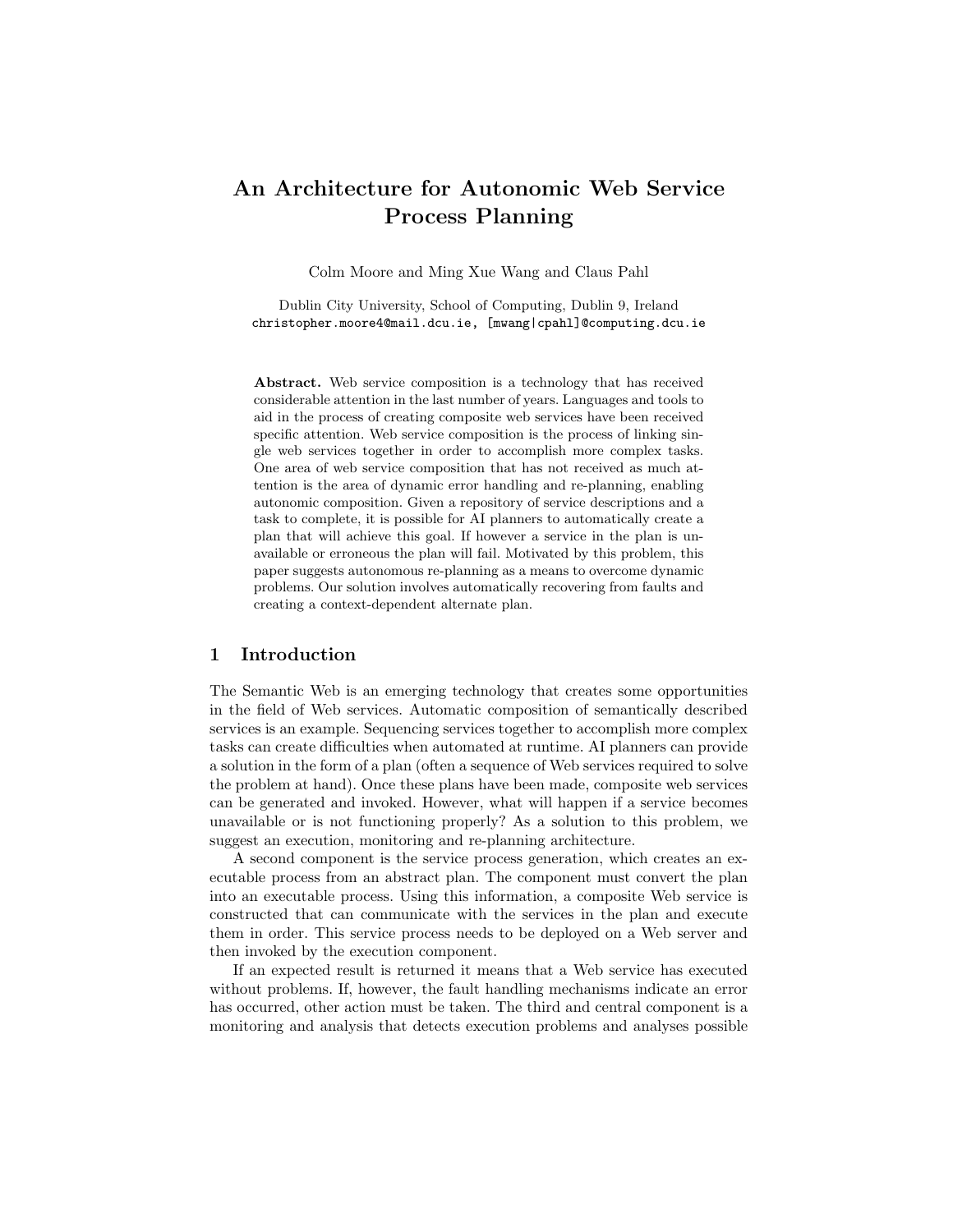# An Architecture for Autonomic Web Service Process Planning

Colm Moore and Ming Xue Wang and Claus Pahl

Dublin City University, School of Computing, Dublin 9, Ireland christopher.moore4@mail.dcu.ie, [mwang|cpahl]@computing.dcu.ie

Abstract. Web service composition is a technology that has received considerable attention in the last number of years. Languages and tools to aid in the process of creating composite web services have been received specific attention. Web service composition is the process of linking single web services together in order to accomplish more complex tasks. One area of web service composition that has not received as much attention is the area of dynamic error handling and re-planning, enabling autonomic composition. Given a repository of service descriptions and a task to complete, it is possible for AI planners to automatically create a plan that will achieve this goal. If however a service in the plan is unavailable or erroneous the plan will fail. Motivated by this problem, this paper suggests autonomous re-planning as a means to overcome dynamic problems. Our solution involves automatically recovering from faults and creating a context-dependent alternate plan.

## 1 Introduction

The Semantic Web is an emerging technology that creates some opportunities in the field of Web services. Automatic composition of semantically described services is an example. Sequencing services together to accomplish more complex tasks can create difficulties when automated at runtime. AI planners can provide a solution in the form of a plan (often a sequence of Web services required to solve the problem at hand). Once these plans have been made, composite web services can be generated and invoked. However, what will happen if a service becomes unavailable or is not functioning properly? As a solution to this problem, we suggest an execution, monitoring and re-planning architecture.

A second component is the service process generation, which creates an executable process from an abstract plan. The component must convert the plan into an executable process. Using this information, a composite Web service is constructed that can communicate with the services in the plan and execute them in order. This service process needs to be deployed on a Web server and then invoked by the execution component.

If an expected result is returned it means that a Web service has executed without problems. If, however, the fault handling mechanisms indicate an error has occurred, other action must be taken. The third and central component is a monitoring and analysis that detects execution problems and analyses possible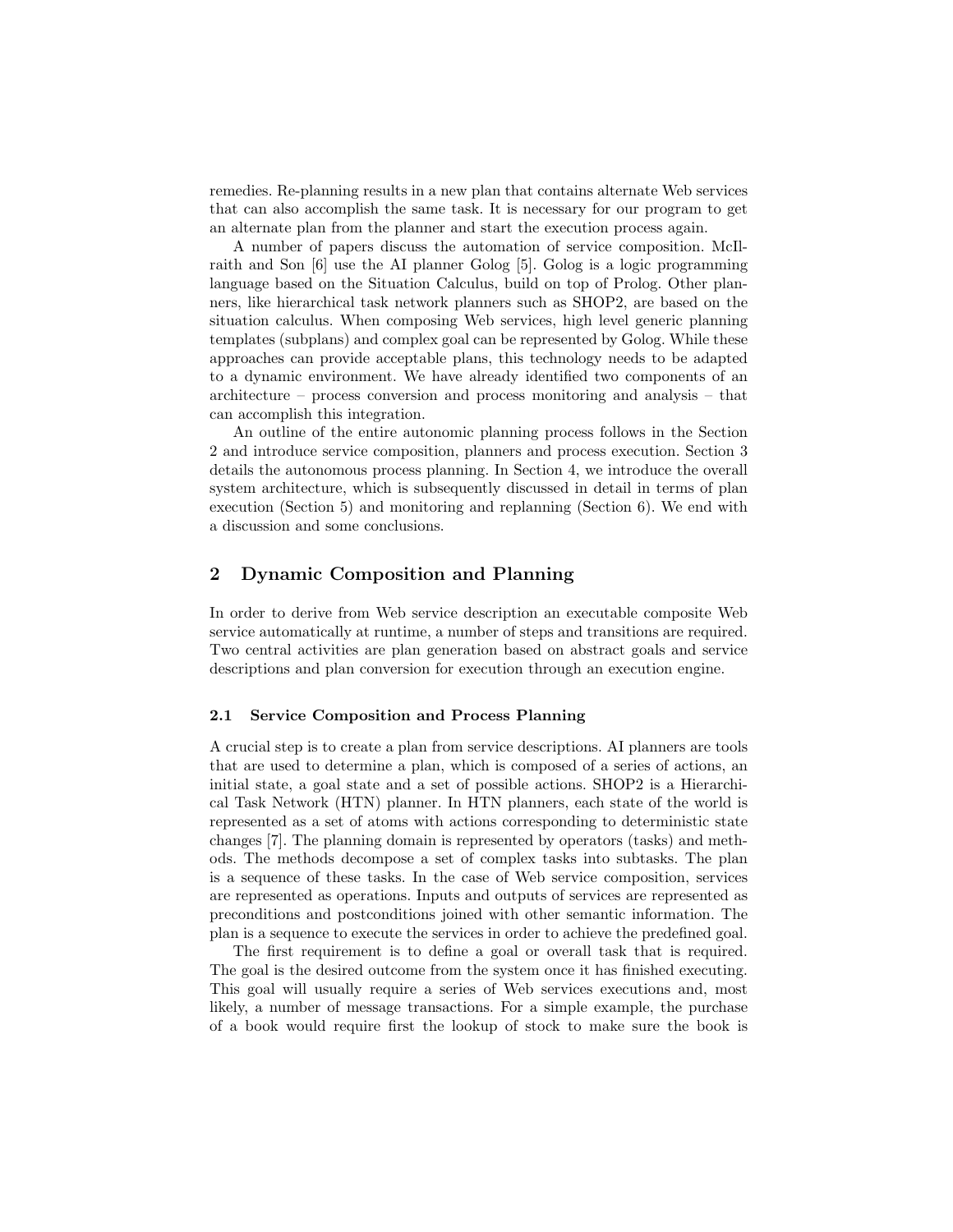remedies. Re-planning results in a new plan that contains alternate Web services that can also accomplish the same task. It is necessary for our program to get an alternate plan from the planner and start the execution process again.

A number of papers discuss the automation of service composition. McIlraith and Son [6] use the AI planner Golog [5]. Golog is a logic programming language based on the Situation Calculus, build on top of Prolog. Other planners, like hierarchical task network planners such as SHOP2, are based on the situation calculus. When composing Web services, high level generic planning templates (subplans) and complex goal can be represented by Golog. While these approaches can provide acceptable plans, this technology needs to be adapted to a dynamic environment. We have already identified two components of an architecture – process conversion and process monitoring and analysis – that can accomplish this integration.

An outline of the entire autonomic planning process follows in the Section 2 and introduce service composition, planners and process execution. Section 3 details the autonomous process planning. In Section 4, we introduce the overall system architecture, which is subsequently discussed in detail in terms of plan execution (Section 5) and monitoring and replanning (Section 6). We end with a discussion and some conclusions.

## 2 Dynamic Composition and Planning

In order to derive from Web service description an executable composite Web service automatically at runtime, a number of steps and transitions are required. Two central activities are plan generation based on abstract goals and service descriptions and plan conversion for execution through an execution engine.

#### 2.1 Service Composition and Process Planning

A crucial step is to create a plan from service descriptions. AI planners are tools that are used to determine a plan, which is composed of a series of actions, an initial state, a goal state and a set of possible actions. SHOP2 is a Hierarchical Task Network (HTN) planner. In HTN planners, each state of the world is represented as a set of atoms with actions corresponding to deterministic state changes [7]. The planning domain is represented by operators (tasks) and methods. The methods decompose a set of complex tasks into subtasks. The plan is a sequence of these tasks. In the case of Web service composition, services are represented as operations. Inputs and outputs of services are represented as preconditions and postconditions joined with other semantic information. The plan is a sequence to execute the services in order to achieve the predefined goal.

The first requirement is to define a goal or overall task that is required. The goal is the desired outcome from the system once it has finished executing. This goal will usually require a series of Web services executions and, most likely, a number of message transactions. For a simple example, the purchase of a book would require first the lookup of stock to make sure the book is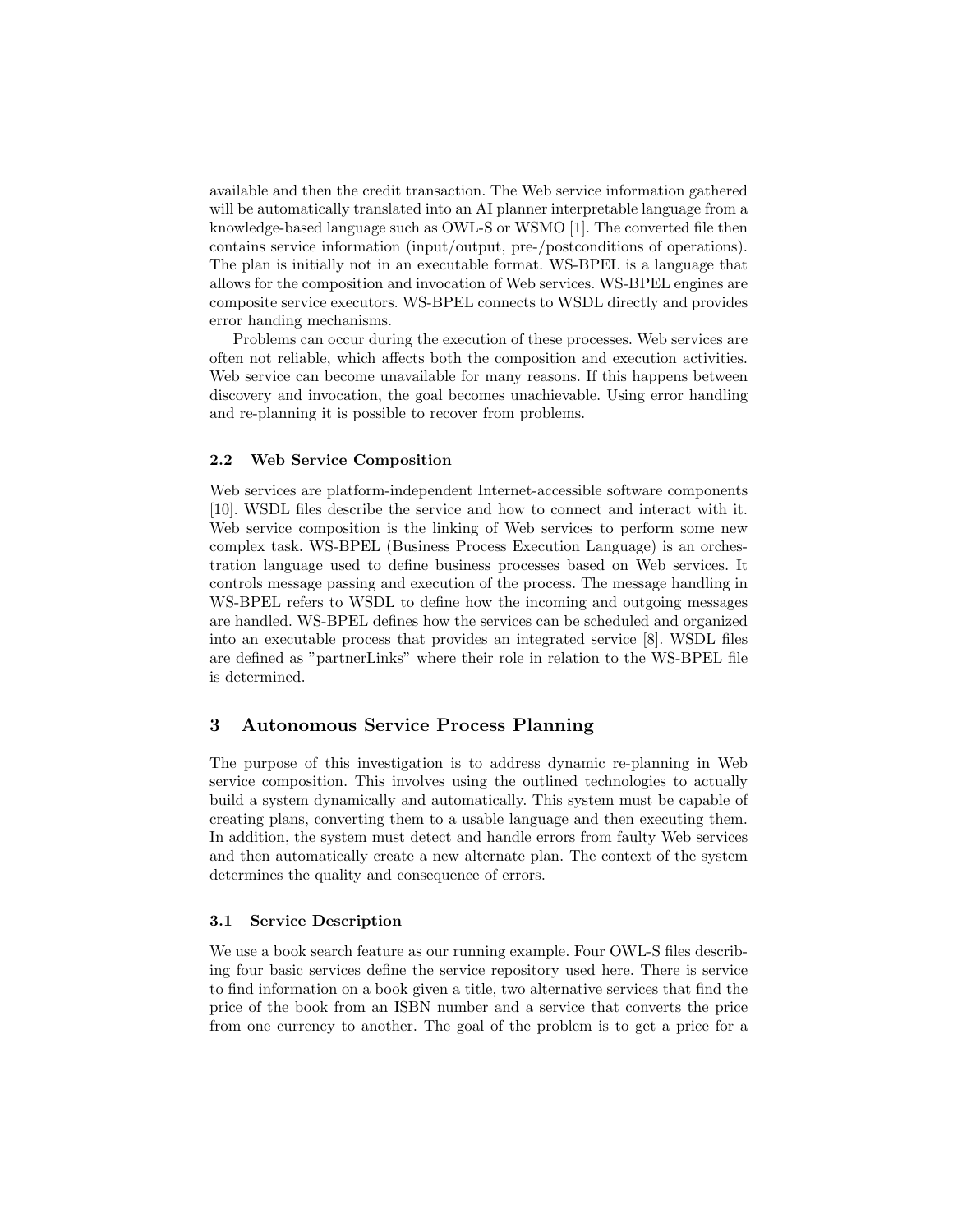available and then the credit transaction. The Web service information gathered will be automatically translated into an AI planner interpretable language from a knowledge-based language such as OWL-S or WSMO [1]. The converted file then contains service information (input/output, pre-/postconditions of operations). The plan is initially not in an executable format. WS-BPEL is a language that allows for the composition and invocation of Web services. WS-BPEL engines are composite service executors. WS-BPEL connects to WSDL directly and provides error handing mechanisms.

Problems can occur during the execution of these processes. Web services are often not reliable, which affects both the composition and execution activities. Web service can become unavailable for many reasons. If this happens between discovery and invocation, the goal becomes unachievable. Using error handling and re-planning it is possible to recover from problems.

#### 2.2 Web Service Composition

Web services are platform-independent Internet-accessible software components [10]. WSDL files describe the service and how to connect and interact with it. Web service composition is the linking of Web services to perform some new complex task. WS-BPEL (Business Process Execution Language) is an orchestration language used to define business processes based on Web services. It controls message passing and execution of the process. The message handling in WS-BPEL refers to WSDL to define how the incoming and outgoing messages are handled. WS-BPEL defines how the services can be scheduled and organized into an executable process that provides an integrated service [8]. WSDL files are defined as "partnerLinks" where their role in relation to the WS-BPEL file is determined.

## 3 Autonomous Service Process Planning

The purpose of this investigation is to address dynamic re-planning in Web service composition. This involves using the outlined technologies to actually build a system dynamically and automatically. This system must be capable of creating plans, converting them to a usable language and then executing them. In addition, the system must detect and handle errors from faulty Web services and then automatically create a new alternate plan. The context of the system determines the quality and consequence of errors.

#### 3.1 Service Description

We use a book search feature as our running example. Four OWL-S files describing four basic services define the service repository used here. There is service to find information on a book given a title, two alternative services that find the price of the book from an ISBN number and a service that converts the price from one currency to another. The goal of the problem is to get a price for a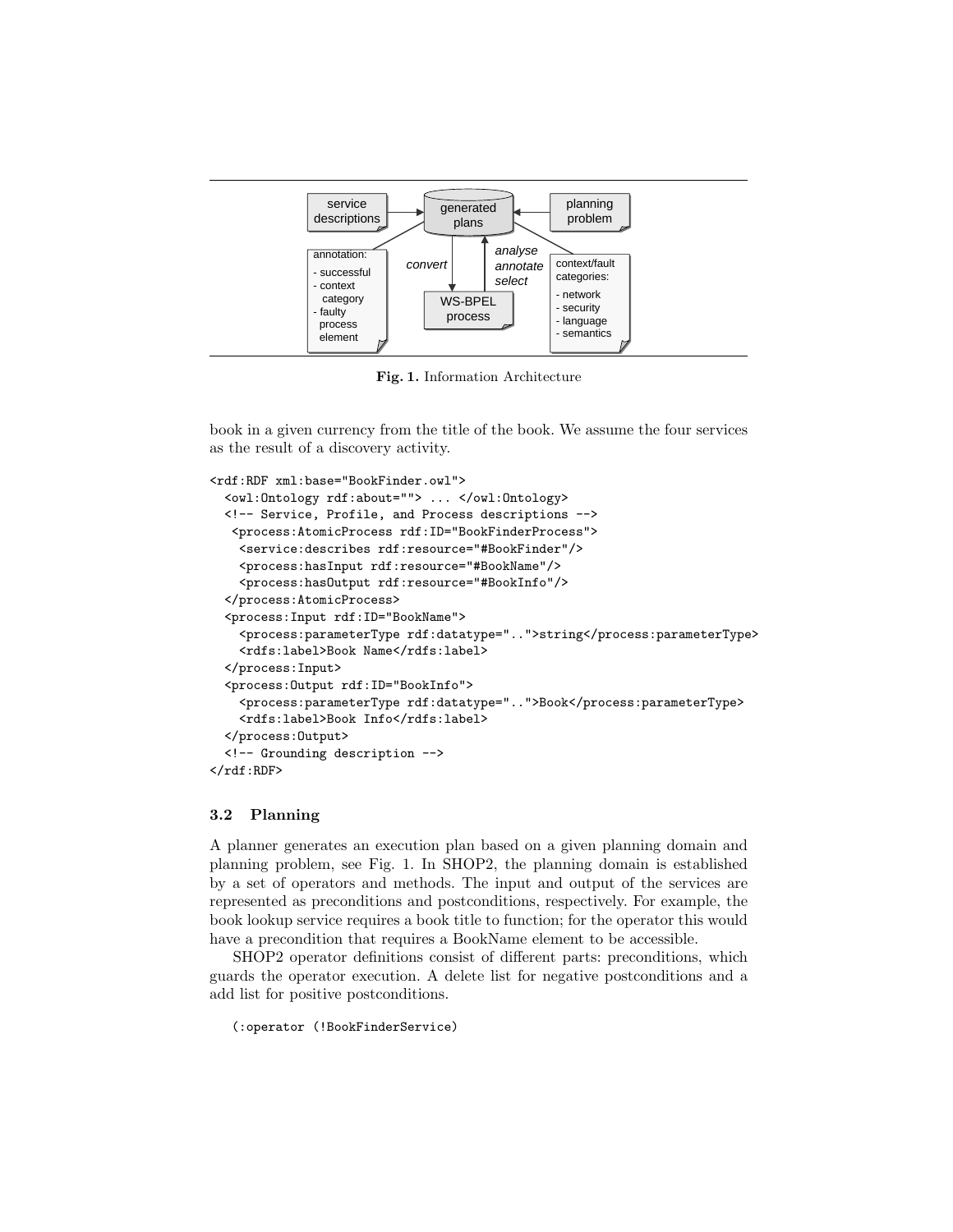

Fig. 1. Information Architecture

book in a given currency from the title of the book. We assume the four services as the result of a discovery activity.

```
<rdf:RDF xml:base="BookFinder.owl">
  <owl:Ontology rdf:about=""> ... </owl:Ontology>
 <!-- Service, Profile, and Process descriptions -->
   <process:AtomicProcess rdf:ID="BookFinderProcess">
    <service:describes rdf:resource="#BookFinder"/>
    <process:hasInput rdf:resource="#BookName"/>
    <process:hasOutput rdf:resource="#BookInfo"/>
  </process:AtomicProcess>
  <process:Input rdf:ID="BookName">
    <process:parameterType rdf:datatype="..">string</process:parameterType>
    <rdfs:label>Book Name</rdfs:label>
  </process:Input>
  <process:Output rdf:ID="BookInfo">
    <process:parameterType rdf:datatype="..">Book</process:parameterType>
    <rdfs:label>Book Info</rdfs:label>
  </process:Output>
  <!-- Grounding description -->
\langlerdf:RDF>
```
#### 3.2 Planning

A planner generates an execution plan based on a given planning domain and planning problem, see Fig. 1. In SHOP2, the planning domain is established by a set of operators and methods. The input and output of the services are represented as preconditions and postconditions, respectively. For example, the book lookup service requires a book title to function; for the operator this would have a precondition that requires a BookName element to be accessible.

SHOP2 operator definitions consist of different parts: preconditions, which guards the operator execution. A delete list for negative postconditions and a add list for positive postconditions.

```
(:operator (!BookFinderService)
```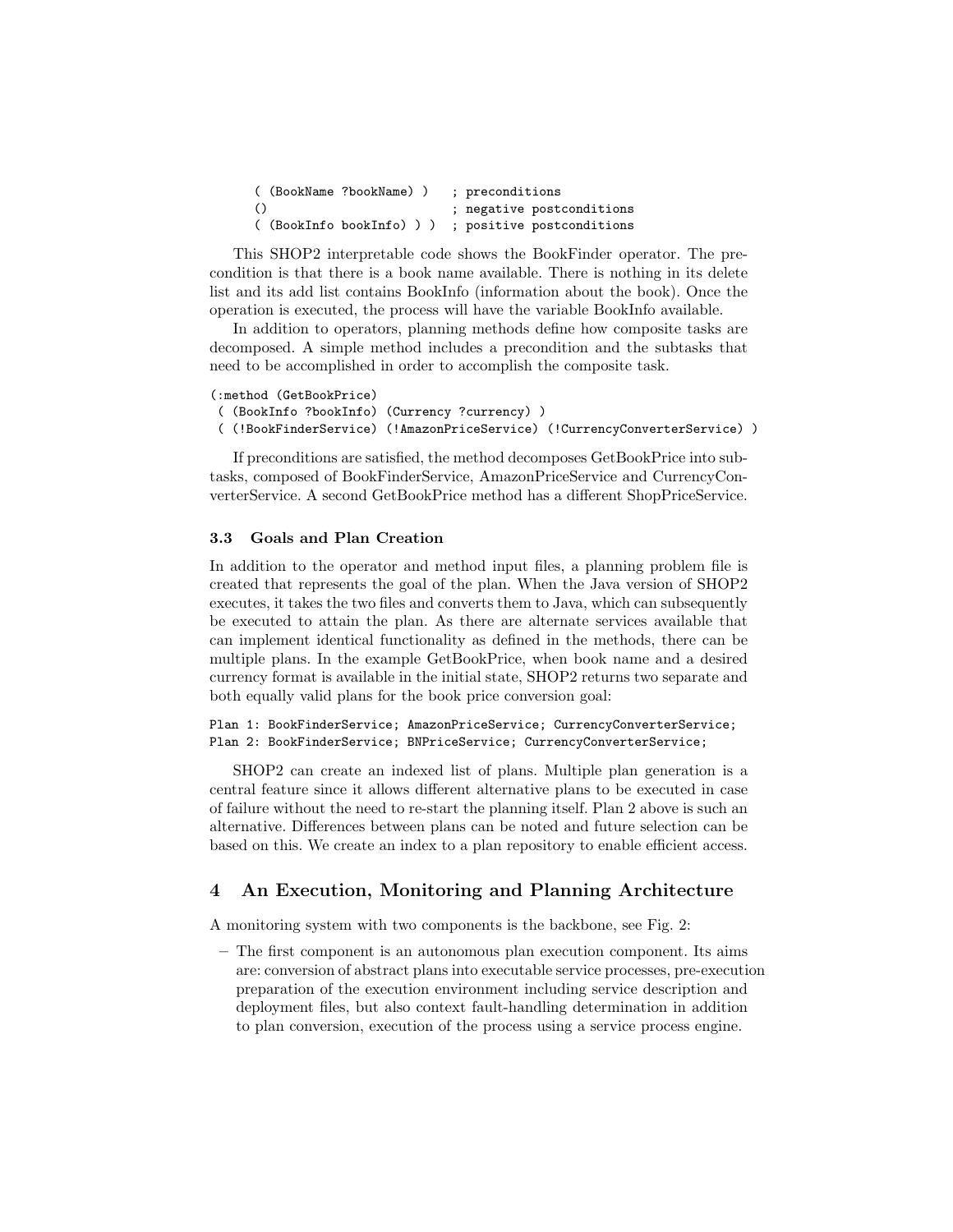|                  | ( (BookName ?bookName) ) |  | ; preconditions                                     |
|------------------|--------------------------|--|-----------------------------------------------------|
| $\left( \right)$ |                          |  | ; negative postconditions                           |
|                  |                          |  | ( (BookInfo bookInfo) ) ) ; positive postconditions |

This SHOP2 interpretable code shows the BookFinder operator. The precondition is that there is a book name available. There is nothing in its delete list and its add list contains BookInfo (information about the book). Once the operation is executed, the process will have the variable BookInfo available.

In addition to operators, planning methods define how composite tasks are decomposed. A simple method includes a precondition and the subtasks that need to be accomplished in order to accomplish the composite task.

```
(:method (GetBookPrice)
( (BookInfo ?bookInfo) (Currency ?currency) )
( (!BookFinderService) (!AmazonPriceService) (!CurrencyConverterService) )
```
If preconditions are satisfied, the method decomposes GetBookPrice into subtasks, composed of BookFinderService, AmazonPriceService and CurrencyConverterService. A second GetBookPrice method has a different ShopPriceService.

## 3.3 Goals and Plan Creation

In addition to the operator and method input files, a planning problem file is created that represents the goal of the plan. When the Java version of SHOP2 executes, it takes the two files and converts them to Java, which can subsequently be executed to attain the plan. As there are alternate services available that can implement identical functionality as defined in the methods, there can be multiple plans. In the example GetBookPrice, when book name and a desired currency format is available in the initial state, SHOP2 returns two separate and both equally valid plans for the book price conversion goal:

### Plan 1: BookFinderService; AmazonPriceService; CurrencyConverterService; Plan 2: BookFinderService; BNPriceService; CurrencyConverterService;

SHOP2 can create an indexed list of plans. Multiple plan generation is a central feature since it allows different alternative plans to be executed in case of failure without the need to re-start the planning itself. Plan 2 above is such an alternative. Differences between plans can be noted and future selection can be based on this. We create an index to a plan repository to enable efficient access.

## 4 An Execution, Monitoring and Planning Architecture

A monitoring system with two components is the backbone, see Fig. 2:

– The first component is an autonomous plan execution component. Its aims are: conversion of abstract plans into executable service processes, pre-execution preparation of the execution environment including service description and deployment files, but also context fault-handling determination in addition to plan conversion, execution of the process using a service process engine.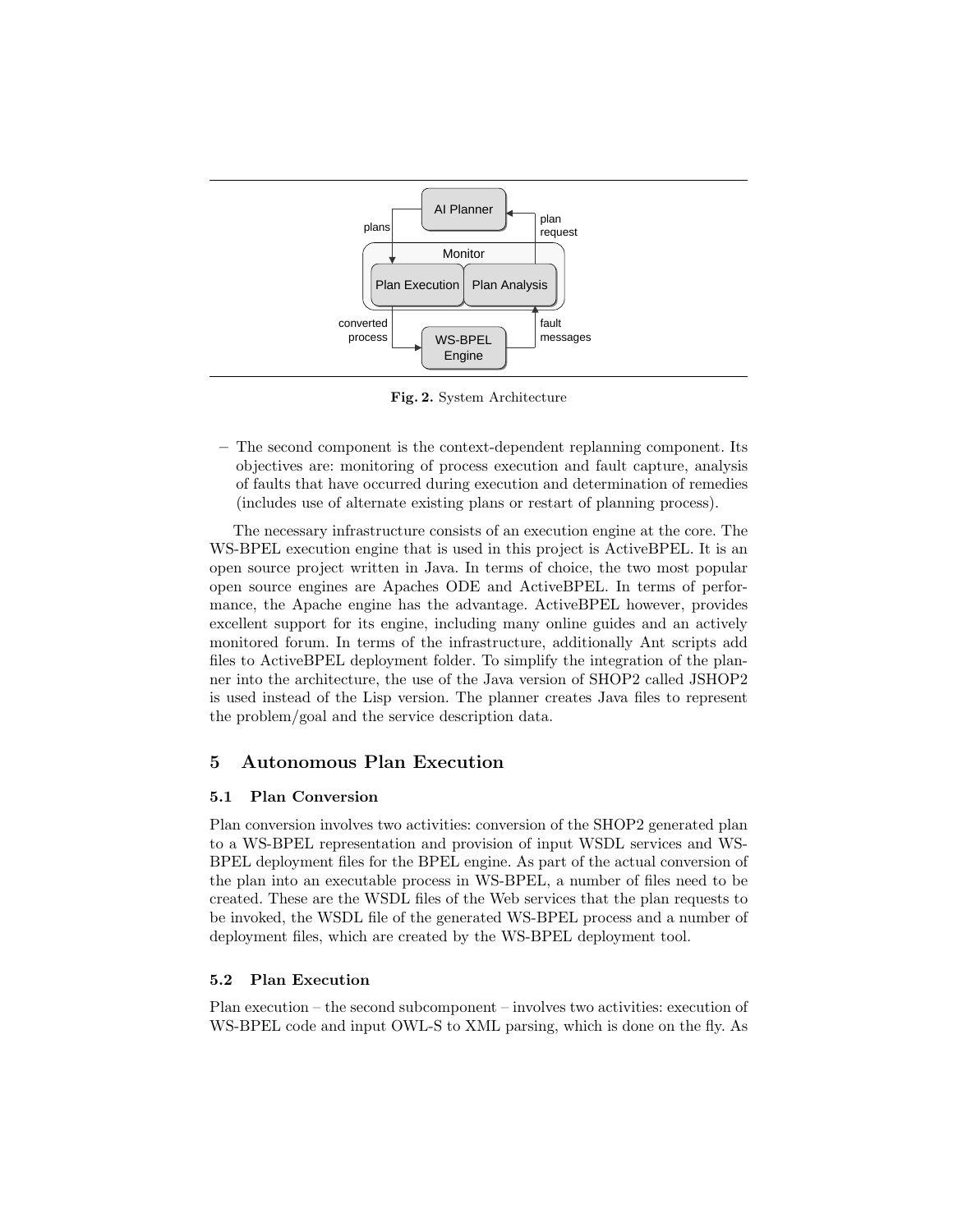

Fig. 2. System Architecture

– The second component is the context-dependent replanning component. Its objectives are: monitoring of process execution and fault capture, analysis of faults that have occurred during execution and determination of remedies (includes use of alternate existing plans or restart of planning process).

The necessary infrastructure consists of an execution engine at the core. The WS-BPEL execution engine that is used in this project is ActiveBPEL. It is an open source project written in Java. In terms of choice, the two most popular open source engines are Apaches ODE and ActiveBPEL. In terms of performance, the Apache engine has the advantage. ActiveBPEL however, provides excellent support for its engine, including many online guides and an actively monitored forum. In terms of the infrastructure, additionally Ant scripts add files to ActiveBPEL deployment folder. To simplify the integration of the planner into the architecture, the use of the Java version of SHOP2 called JSHOP2 is used instead of the Lisp version. The planner creates Java files to represent the problem/goal and the service description data.

## 5 Autonomous Plan Execution

### 5.1 Plan Conversion

Plan conversion involves two activities: conversion of the SHOP2 generated plan to a WS-BPEL representation and provision of input WSDL services and WS-BPEL deployment files for the BPEL engine. As part of the actual conversion of the plan into an executable process in WS-BPEL, a number of files need to be created. These are the WSDL files of the Web services that the plan requests to be invoked, the WSDL file of the generated WS-BPEL process and a number of deployment files, which are created by the WS-BPEL deployment tool.

## 5.2 Plan Execution

Plan execution – the second subcomponent – involves two activities: execution of WS-BPEL code and input OWL-S to XML parsing, which is done on the fly. As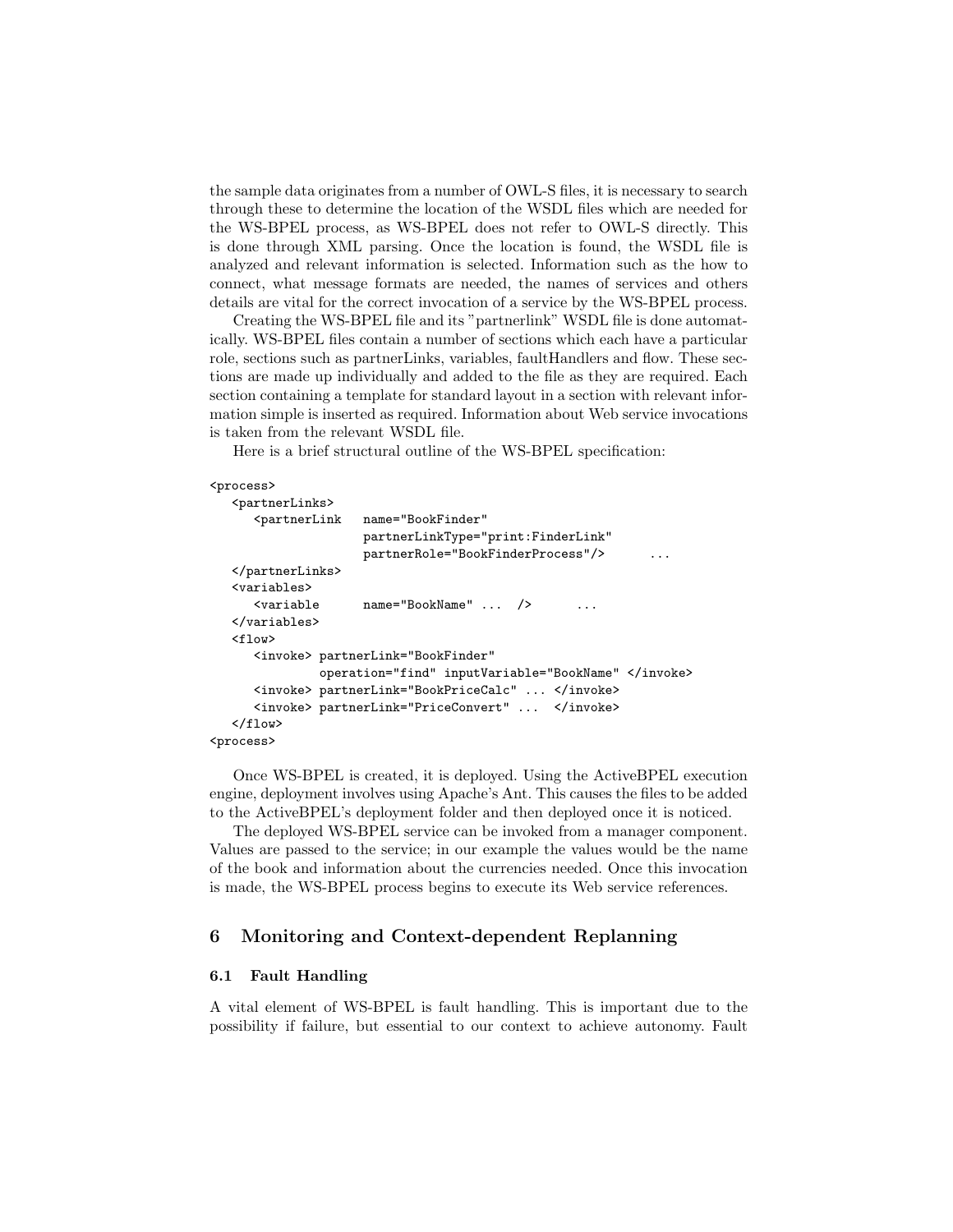the sample data originates from a number of OWL-S files, it is necessary to search through these to determine the location of the WSDL files which are needed for the WS-BPEL process, as WS-BPEL does not refer to OWL-S directly. This is done through XML parsing. Once the location is found, the WSDL file is analyzed and relevant information is selected. Information such as the how to connect, what message formats are needed, the names of services and others details are vital for the correct invocation of a service by the WS-BPEL process.

Creating the WS-BPEL file and its "partnerlink" WSDL file is done automatically. WS-BPEL files contain a number of sections which each have a particular role, sections such as partnerLinks, variables, faultHandlers and flow. These sections are made up individually and added to the file as they are required. Each section containing a template for standard layout in a section with relevant information simple is inserted as required. Information about Web service invocations is taken from the relevant WSDL file.

Here is a brief structural outline of the WS-BPEL specification:

```
<process>
   <partnerLinks>
      <partnerLink name="BookFinder"
                    partnerLinkType="print:FinderLink"
                    partnerRole="BookFinderProcess"/> ...
   </partnerLinks>
   <variables>
      <variable name="BookName" ... /> ...
   </variables>
   <flow>
      <invoke> partnerLink="BookFinder"
              operation="find" inputVariable="BookName" </invoke>
      <invoke> partnerLink="BookPriceCalc" ... </invoke>
      <invoke> partnerLink="PriceConvert" ... </invoke>
   \langle/flow>
<process>
```
Once WS-BPEL is created, it is deployed. Using the ActiveBPEL execution engine, deployment involves using Apache's Ant. This causes the files to be added to the ActiveBPEL's deployment folder and then deployed once it is noticed.

The deployed WS-BPEL service can be invoked from a manager component. Values are passed to the service; in our example the values would be the name of the book and information about the currencies needed. Once this invocation is made, the WS-BPEL process begins to execute its Web service references.

## 6 Monitoring and Context-dependent Replanning

#### 6.1 Fault Handling

A vital element of WS-BPEL is fault handling. This is important due to the possibility if failure, but essential to our context to achieve autonomy. Fault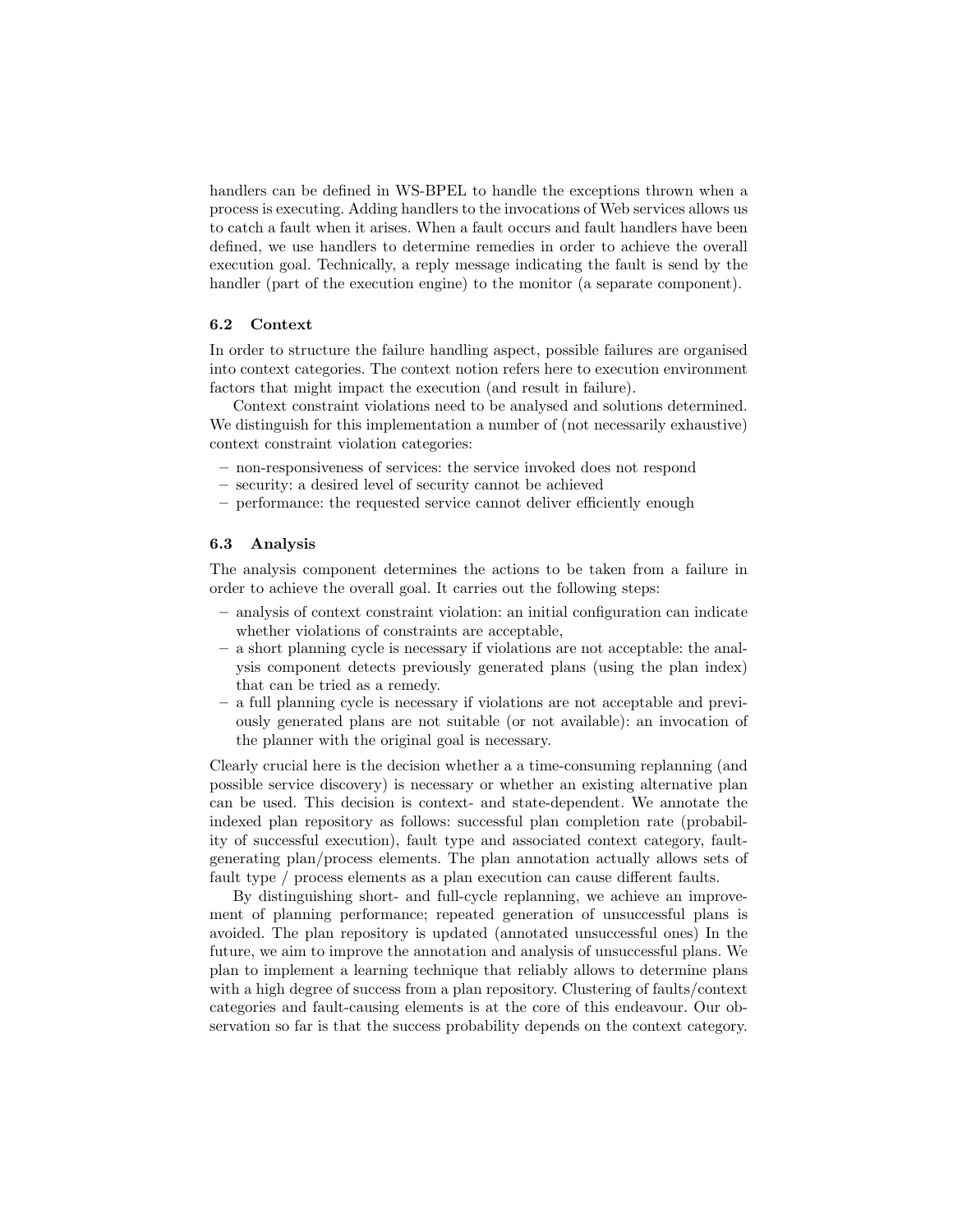handlers can be defined in WS-BPEL to handle the exceptions thrown when a process is executing. Adding handlers to the invocations of Web services allows us to catch a fault when it arises. When a fault occurs and fault handlers have been defined, we use handlers to determine remedies in order to achieve the overall execution goal. Technically, a reply message indicating the fault is send by the handler (part of the execution engine) to the monitor (a separate component).

#### 6.2 Context

In order to structure the failure handling aspect, possible failures are organised into context categories. The context notion refers here to execution environment factors that might impact the execution (and result in failure).

Context constraint violations need to be analysed and solutions determined. We distinguish for this implementation a number of (not necessarily exhaustive) context constraint violation categories:

- non-responsiveness of services: the service invoked does not respond
- security: a desired level of security cannot be achieved
- performance: the requested service cannot deliver efficiently enough

#### 6.3 Analysis

The analysis component determines the actions to be taken from a failure in order to achieve the overall goal. It carries out the following steps:

- analysis of context constraint violation: an initial configuration can indicate whether violations of constraints are acceptable,
- a short planning cycle is necessary if violations are not acceptable: the analysis component detects previously generated plans (using the plan index) that can be tried as a remedy.
- a full planning cycle is necessary if violations are not acceptable and previously generated plans are not suitable (or not available): an invocation of the planner with the original goal is necessary.

Clearly crucial here is the decision whether a a time-consuming replanning (and possible service discovery) is necessary or whether an existing alternative plan can be used. This decision is context- and state-dependent. We annotate the indexed plan repository as follows: successful plan completion rate (probability of successful execution), fault type and associated context category, faultgenerating plan/process elements. The plan annotation actually allows sets of fault type / process elements as a plan execution can cause different faults.

By distinguishing short- and full-cycle replanning, we achieve an improvement of planning performance; repeated generation of unsuccessful plans is avoided. The plan repository is updated (annotated unsuccessful ones) In the future, we aim to improve the annotation and analysis of unsuccessful plans. We plan to implement a learning technique that reliably allows to determine plans with a high degree of success from a plan repository. Clustering of faults/context categories and fault-causing elements is at the core of this endeavour. Our observation so far is that the success probability depends on the context category.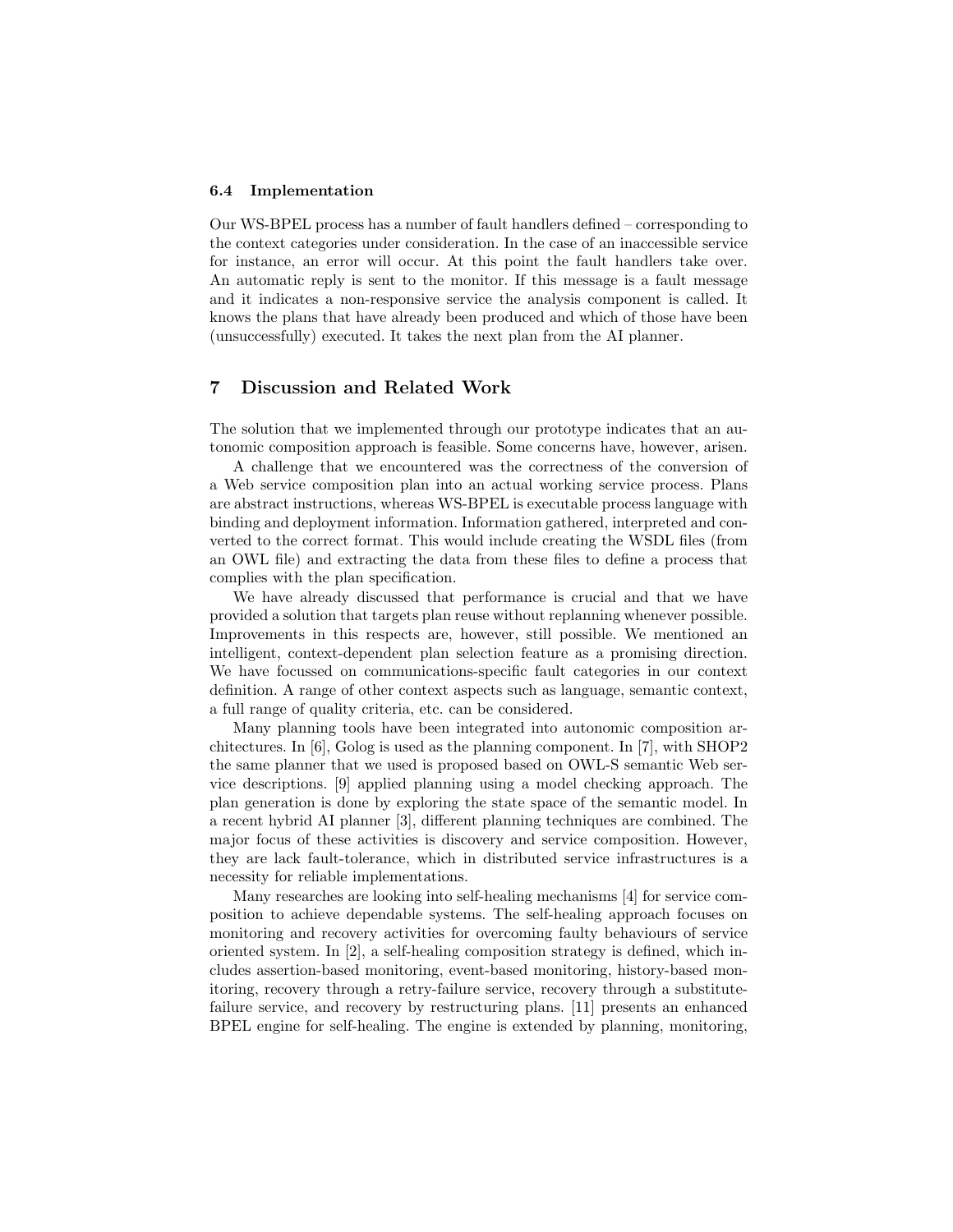#### 6.4 Implementation

Our WS-BPEL process has a number of fault handlers defined – corresponding to the context categories under consideration. In the case of an inaccessible service for instance, an error will occur. At this point the fault handlers take over. An automatic reply is sent to the monitor. If this message is a fault message and it indicates a non-responsive service the analysis component is called. It knows the plans that have already been produced and which of those have been (unsuccessfully) executed. It takes the next plan from the AI planner.

## 7 Discussion and Related Work

The solution that we implemented through our prototype indicates that an autonomic composition approach is feasible. Some concerns have, however, arisen.

A challenge that we encountered was the correctness of the conversion of a Web service composition plan into an actual working service process. Plans are abstract instructions, whereas WS-BPEL is executable process language with binding and deployment information. Information gathered, interpreted and converted to the correct format. This would include creating the WSDL files (from an OWL file) and extracting the data from these files to define a process that complies with the plan specification.

We have already discussed that performance is crucial and that we have provided a solution that targets plan reuse without replanning whenever possible. Improvements in this respects are, however, still possible. We mentioned an intelligent, context-dependent plan selection feature as a promising direction. We have focussed on communications-specific fault categories in our context definition. A range of other context aspects such as language, semantic context, a full range of quality criteria, etc. can be considered.

Many planning tools have been integrated into autonomic composition architectures. In [6], Golog is used as the planning component. In [7], with SHOP2 the same planner that we used is proposed based on OWL-S semantic Web service descriptions. [9] applied planning using a model checking approach. The plan generation is done by exploring the state space of the semantic model. In a recent hybrid AI planner [3], different planning techniques are combined. The major focus of these activities is discovery and service composition. However, they are lack fault-tolerance, which in distributed service infrastructures is a necessity for reliable implementations.

Many researches are looking into self-healing mechanisms [4] for service composition to achieve dependable systems. The self-healing approach focuses on monitoring and recovery activities for overcoming faulty behaviours of service oriented system. In [2], a self-healing composition strategy is defined, which includes assertion-based monitoring, event-based monitoring, history-based monitoring, recovery through a retry-failure service, recovery through a substitutefailure service, and recovery by restructuring plans. [11] presents an enhanced BPEL engine for self-healing. The engine is extended by planning, monitoring,